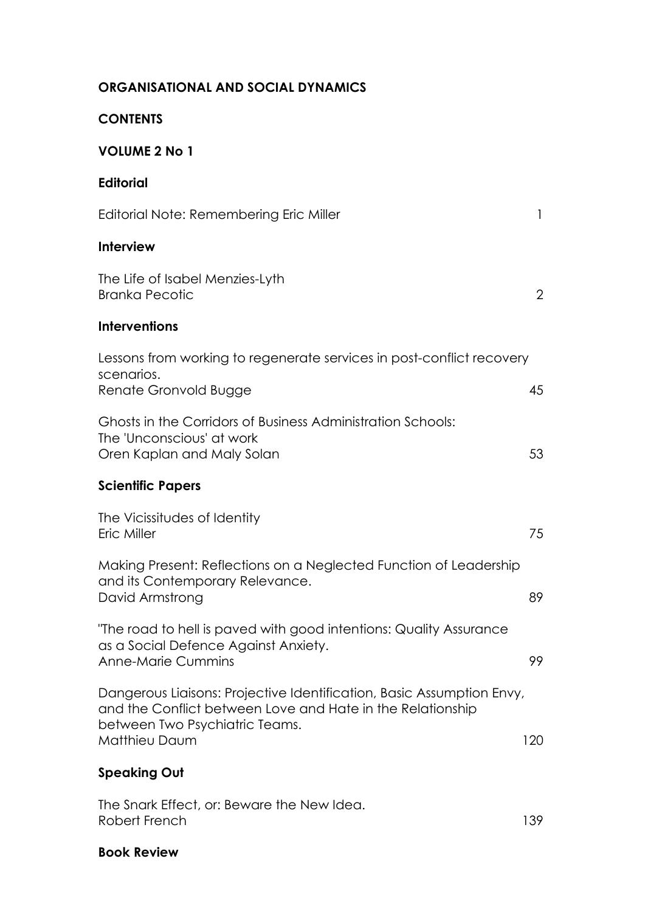## **ORGANISATIONAL AND SOCIAL DYNAMICS**

#### **CONTENTS**

# **VOLUME 2 No 1**

| <b>Editorial</b>                                                                                                                                                                       |                |
|----------------------------------------------------------------------------------------------------------------------------------------------------------------------------------------|----------------|
| Editorial Note: Remembering Eric Miller                                                                                                                                                | 1              |
| <b>Interview</b>                                                                                                                                                                       |                |
| The Life of Isabel Menzies-Lyth<br><b>Branka Pecotic</b>                                                                                                                               | $\overline{2}$ |
| <b>Interventions</b>                                                                                                                                                                   |                |
| Lessons from working to regenerate services in post-conflict recovery<br>scenarios.<br>Renate Gronvold Bugge                                                                           | 45             |
| Ghosts in the Corridors of Business Administration Schools:<br>The 'Unconscious' at work<br>Oren Kaplan and Maly Solan                                                                 | 53             |
| <b>Scientific Papers</b>                                                                                                                                                               |                |
| The Vicissitudes of Identity<br>Eric Miller                                                                                                                                            | 75             |
| Making Present: Reflections on a Neglected Function of Leadership<br>and its Contemporary Relevance.<br>David Armstrong                                                                | 89             |
| "The road to hell is paved with good intentions: Quality Assurance<br>as a Social Defence Against Anxiety.<br>Anne-Marie Cummins                                                       | 99             |
| Dangerous Liaisons: Projective Identification, Basic Assumption Envy,<br>and the Conflict between Love and Hate in the Relationship<br>between Two Psychiatric Teams.<br>Matthieu Daum | 120            |
| <b>Speaking Out</b>                                                                                                                                                                    |                |
| The Snark Effect, or: Beware the New Idea.                                                                                                                                             |                |

Robert French 139

#### **Book Review**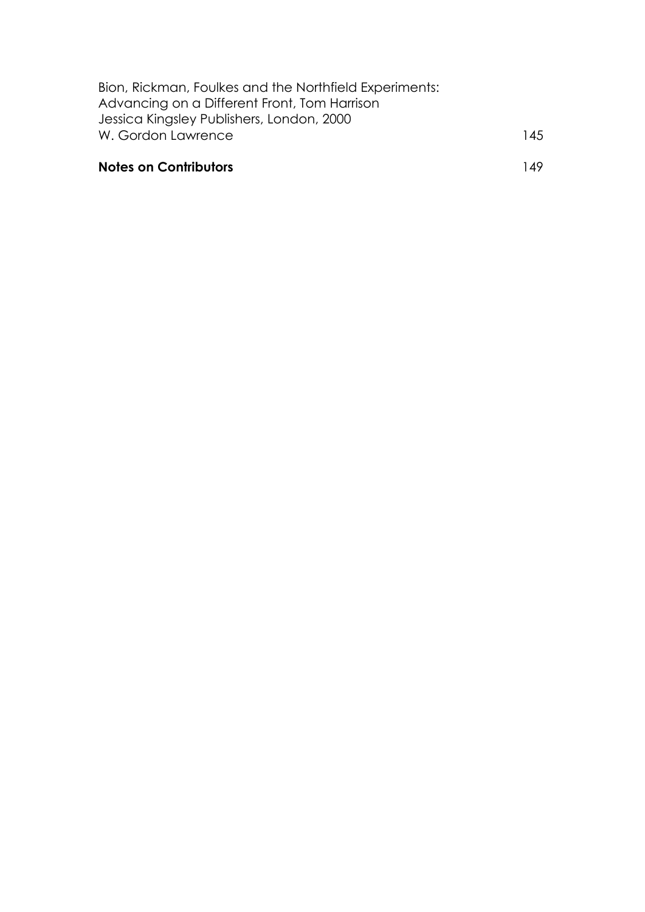| Bion, Rickman, Foulkes and the Northfield Experiments: |     |
|--------------------------------------------------------|-----|
| Advancing on a Different Front, Tom Harrison           |     |
| Jessica Kingsley Publishers, London, 2000              |     |
| W. Gordon Lawrence                                     | 145 |
|                                                        |     |

## **Notes on Contributors** 149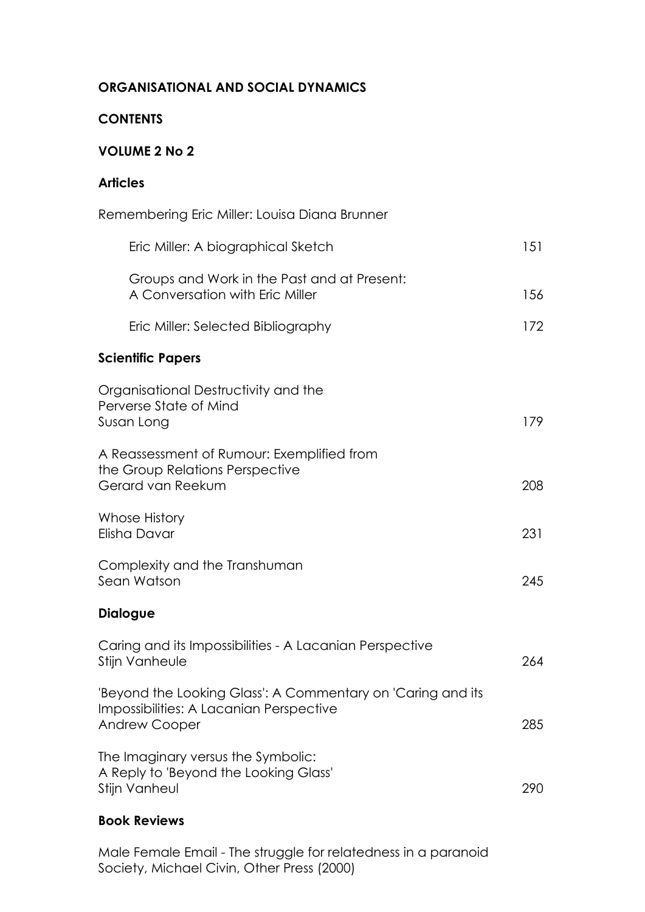### **ORGANISATIONAL AND SOCIAL DYNAMICS**

### **CONTENTS**

#### **VOLUME 2 No 2**

## **Articles**

| Remembering Eric Miller: Louisa Diana Brunner                                                                                  |     |
|--------------------------------------------------------------------------------------------------------------------------------|-----|
| Eric Miller: A biographical Sketch                                                                                             | 151 |
| Groups and Work in the Past and at Present:<br>A Conversation with Eric Miller                                                 | 156 |
| Eric Miller: Selected Bibliography                                                                                             | 172 |
| <b>Scientific Papers</b>                                                                                                       |     |
| Organisational Destructivity and the<br>Perverse State of Mind<br>Susan Long                                                   | 179 |
| A Reassessment of Rumour: Exemplified from<br>the Group Relations Perspective<br>Gerard van Reekum                             | 208 |
| Whose History<br>Elisha Davar                                                                                                  | 231 |
| Complexity and the Transhuman<br>Sean Watson                                                                                   | 245 |
| <b>Dialogue</b>                                                                                                                |     |
| Caring and its Impossibilities - A Lacanian Perspective<br>Stijn Vanheule                                                      | 264 |
| 'Beyond the Looking Glass': A Commentary on 'Caring and its<br>Impossibilities: A Lacanian Perspective<br><b>Andrew Cooper</b> | 285 |
| The Imaginary versus the Symbolic:<br>A Reply to 'Beyond the Looking Glass'<br>Stijn Vanheul                                   | 290 |
|                                                                                                                                |     |

### **Book Reviews**

Male Female Email - The struggle for relatedness in a paranoid Society, Michael Civin, Other Press (2000)